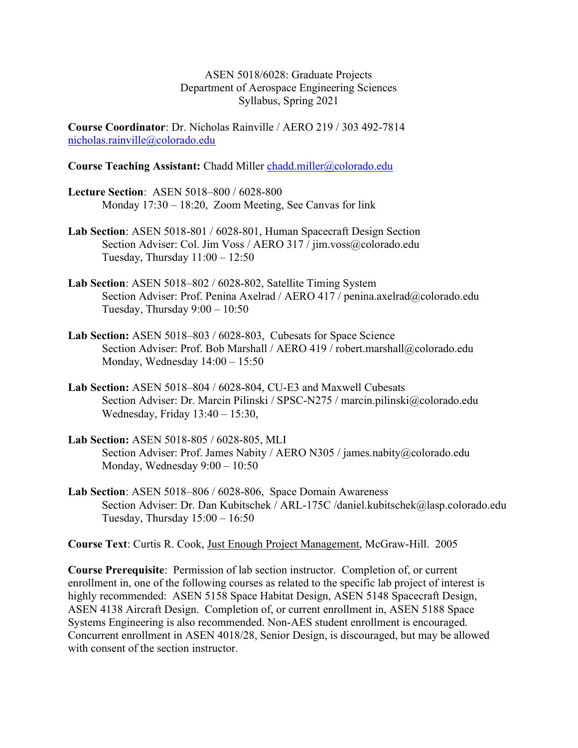ASEN 5018/6028: Graduate Projects Department of Aerospace Engineering Sciences Syllabus, Spring 2021

Course Coordinator: Dr. Nicholas Rainville / AERO 219 / 303 492-7814 nicholas.rainville@colorado.edu

#### Course Teaching Assistant: Chadd Miller chadd.miller@colorado.edu

- Lecture Section: ASEN 5018–800 / 6028-800 Monday 17:30 – 18:20, Zoom Meeting, See Canvas for link
- Lab Section: ASEN 5018-801 / 6028-801, Human Spacecraft Design Section Section Adviser: Col. Jim Voss / AERO 317 / jim.voss@colorado.edu Tuesday, Thursday  $11:00 - 12:50$
- Lab Section: ASEN 5018–802 / 6028-802, Satellite Timing System Section Adviser: Prof. Penina Axelrad / AERO 417 / penina.axelrad@colorado.edu Tuesday, Thursday 9:00 – 10:50
- Lab Section: ASEN 5018–803 / 6028-803, Cubesats for Space Science Section Adviser: Prof. Bob Marshall / AERO 419 / robert.marshall@colorado.edu Monday, Wednesday 14:00 – 15:50
- Lab Section: ASEN 5018–804 / 6028-804, CU-E3 and Maxwell Cubesats Section Adviser: Dr. Marcin Pilinski / SPSC-N275 / marcin.pilinski@colorado.edu Wednesday, Friday 13:40 – 15:30,
- Lab Section: ASEN 5018-805 / 6028-805, MLI Section Adviser: Prof. James Nabity / AERO N305 / james.nabity@colorado.edu Monday, Wednesday 9:00 – 10:50
- Lab Section: ASEN 5018–806 / 6028-806, Space Domain Awareness Section Adviser: Dr. Dan Kubitschek / ARL-175C /daniel.kubitschek@lasp.colorado.edu Tuesday, Thursday  $15:00 - 16:50$

Course Text: Curtis R. Cook, Just Enough Project Management, McGraw-Hill. 2005

Course Prerequisite: Permission of lab section instructor. Completion of, or current enrollment in, one of the following courses as related to the specific lab project of interest is highly recommended: ASEN 5158 Space Habitat Design, ASEN 5148 Spacecraft Design, ASEN 4138 Aircraft Design. Completion of, or current enrollment in, ASEN 5188 Space Systems Engineering is also recommended. Non-AES student enrollment is encouraged. Concurrent enrollment in ASEN 4018/28, Senior Design, is discouraged, but may be allowed with consent of the section instructor.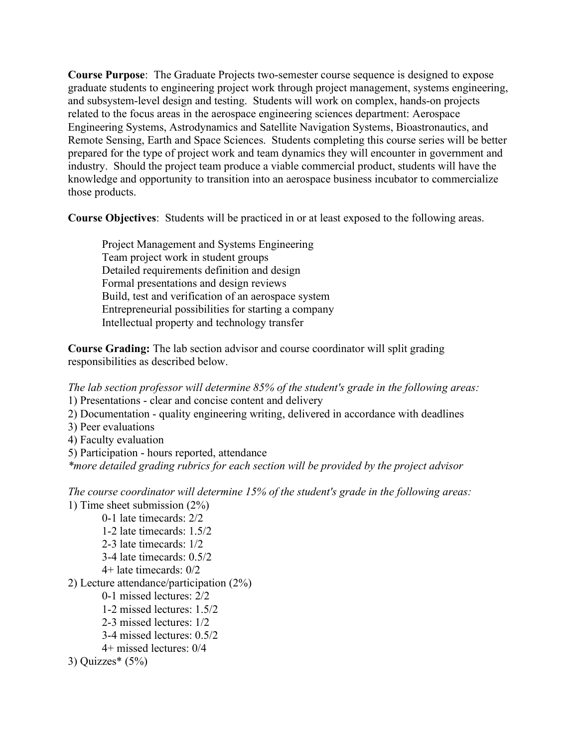Course Purpose: The Graduate Projects two-semester course sequence is designed to expose graduate students to engineering project work through project management, systems engineering, and subsystem-level design and testing. Students will work on complex, hands-on projects related to the focus areas in the aerospace engineering sciences department: Aerospace Engineering Systems, Astrodynamics and Satellite Navigation Systems, Bioastronautics, and Remote Sensing, Earth and Space Sciences. Students completing this course series will be better prepared for the type of project work and team dynamics they will encounter in government and industry. Should the project team produce a viable commercial product, students will have the knowledge and opportunity to transition into an aerospace business incubator to commercialize those products.

Course Objectives: Students will be practiced in or at least exposed to the following areas.

 Project Management and Systems Engineering Team project work in student groups Detailed requirements definition and design Formal presentations and design reviews Build, test and verification of an aerospace system Entrepreneurial possibilities for starting a company Intellectual property and technology transfer

Course Grading: The lab section advisor and course coordinator will split grading responsibilities as described below.

The lab section professor will determine 85% of the student's grade in the following areas: 1) Presentations - clear and concise content and delivery

2) Documentation - quality engineering writing, delivered in accordance with deadlines

- 3) Peer evaluations
- 4) Faculty evaluation
- 5) Participation hours reported, attendance

\*more detailed grading rubrics for each section will be provided by the project advisor

The course coordinator will determine 15% of the student's grade in the following areas: 1) Time sheet submission (2%) 0-1 late timecards: 2/2 1-2 late timecards: 1.5/2 2-3 late timecards: 1/2 3-4 late timecards: 0.5/2 4+ late timecards: 0/2 2) Lecture attendance/participation (2%) 0-1 missed lectures: 2/2

- 1-2 missed lectures: 1.5/2
- 2-3 missed lectures: 1/2
- 3-4 missed lectures: 0.5/2
- 4+ missed lectures: 0/4

```
3) Quizzes*(5%)
```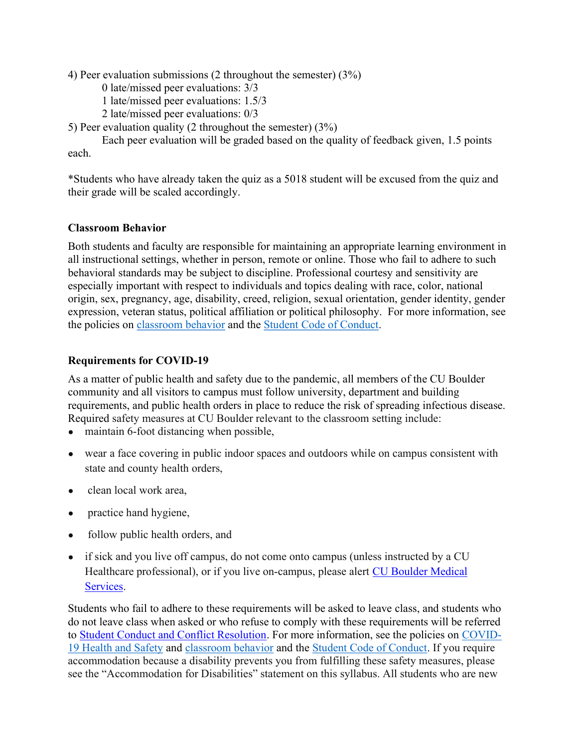4) Peer evaluation submissions (2 throughout the semester) (3%)

- 0 late/missed peer evaluations: 3/3
- 1 late/missed peer evaluations: 1.5/3
- 2 late/missed peer evaluations: 0/3
- 5) Peer evaluation quality (2 throughout the semester) (3%)

 Each peer evaluation will be graded based on the quality of feedback given, 1.5 points each.

\*Students who have already taken the quiz as a 5018 student will be excused from the quiz and their grade will be scaled accordingly.

## Classroom Behavior

Both students and faculty are responsible for maintaining an appropriate learning environment in all instructional settings, whether in person, remote or online. Those who fail to adhere to such behavioral standards may be subject to discipline. Professional courtesy and sensitivity are especially important with respect to individuals and topics dealing with race, color, national origin, sex, pregnancy, age, disability, creed, religion, sexual orientation, gender identity, gender expression, veteran status, political affiliation or political philosophy. For more information, see the policies on classroom behavior and the Student Code of Conduct.

# Requirements for COVID-19

As a matter of public health and safety due to the pandemic, all members of the CU Boulder community and all visitors to campus must follow university, department and building requirements, and public health orders in place to reduce the risk of spreading infectious disease. Required safety measures at CU Boulder relevant to the classroom setting include:

- maintain 6-foot distancing when possible,
- wear a face covering in public indoor spaces and outdoors while on campus consistent with state and county health orders,
- clean local work area,
- practice hand hygiene,
- follow public health orders, and
- if sick and you live off campus, do not come onto campus (unless instructed by a CU Healthcare professional), or if you live on-campus, please alert CU Boulder Medical Services.

Students who fail to adhere to these requirements will be asked to leave class, and students who do not leave class when asked or who refuse to comply with these requirements will be referred to Student Conduct and Conflict Resolution. For more information, see the policies on COVID-19 Health and Safety and classroom behavior and the Student Code of Conduct. If you require accommodation because a disability prevents you from fulfilling these safety measures, please see the "Accommodation for Disabilities" statement on this syllabus. All students who are new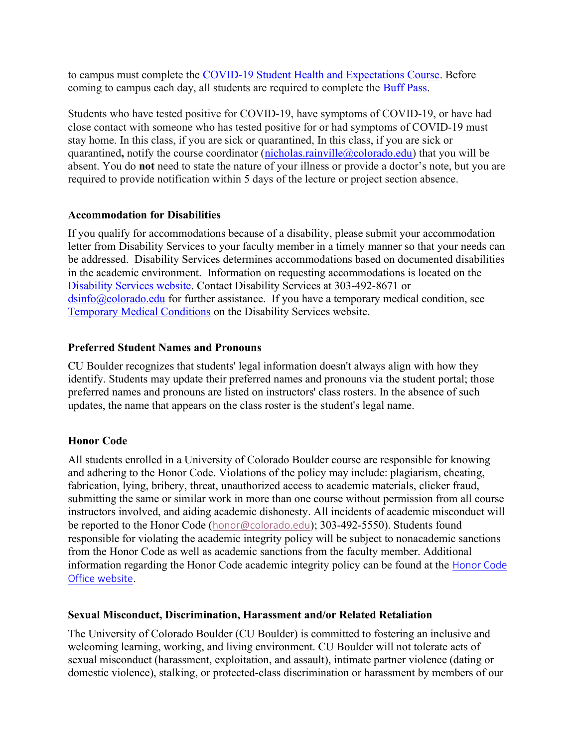to campus must complete the COVID-19 Student Health and Expectations Course. Before coming to campus each day, all students are required to complete the Buff Pass.

Students who have tested positive for COVID-19, have symptoms of COVID-19, or have had close contact with someone who has tested positive for or had symptoms of COVID-19 must stay home. In this class, if you are sick or quarantined, In this class, if you are sick or quarantined, notify the course coordinator (nicholas.rainville@colorado.edu) that you will be absent. You do not need to state the nature of your illness or provide a doctor's note, but you are required to provide notification within 5 days of the lecture or project section absence.

### Accommodation for Disabilities

If you qualify for accommodations because of a disability, please submit your accommodation letter from Disability Services to your faculty member in a timely manner so that your needs can be addressed. Disability Services determines accommodations based on documented disabilities in the academic environment. Information on requesting accommodations is located on the Disability Services website. Contact Disability Services at 303-492-8671 or  $\sin 6$  ( $\alpha$ ) colorado.edu for further assistance. If you have a temporary medical condition, see Temporary Medical Conditions on the Disability Services website.

### Preferred Student Names and Pronouns

CU Boulder recognizes that students' legal information doesn't always align with how they identify. Students may update their preferred names and pronouns via the student portal; those preferred names and pronouns are listed on instructors' class rosters. In the absence of such updates, the name that appears on the class roster is the student's legal name.

## Honor Code

All students enrolled in a University of Colorado Boulder course are responsible for knowing and adhering to the Honor Code. Violations of the policy may include: plagiarism, cheating, fabrication, lying, bribery, threat, unauthorized access to academic materials, clicker fraud, submitting the same or similar work in more than one course without permission from all course instructors involved, and aiding academic dishonesty. All incidents of academic misconduct will be reported to the Honor Code (honor@colorado.edu); 303-492-5550). Students found responsible for violating the academic integrity policy will be subject to nonacademic sanctions from the Honor Code as well as academic sanctions from the faculty member. Additional information regarding the Honor Code academic integrity policy can be found at the Honor Code Office website.

#### Sexual Misconduct, Discrimination, Harassment and/or Related Retaliation

The University of Colorado Boulder (CU Boulder) is committed to fostering an inclusive and welcoming learning, working, and living environment. CU Boulder will not tolerate acts of sexual misconduct (harassment, exploitation, and assault), intimate partner violence (dating or domestic violence), stalking, or protected-class discrimination or harassment by members of our